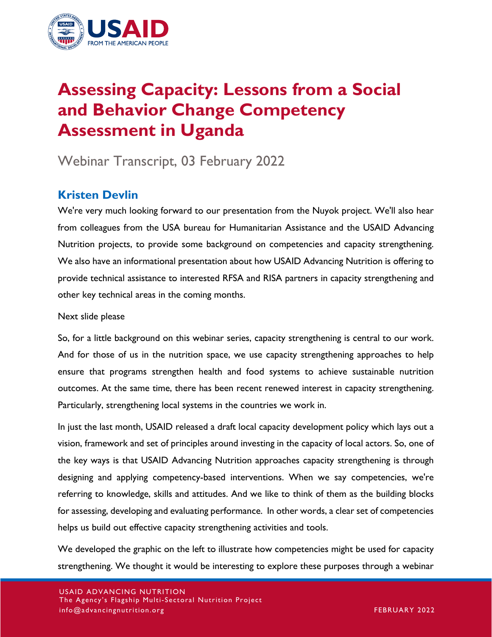

# **Assessing Capacity: Lessons from a Social and Behavior Change Competency Assessment in Uganda**

# Webinar Transcript, 03 February 2022

# **Kristen Devlin**

We're very much looking forward to our presentation from the Nuyok project. We'll also hear from colleagues from the USA bureau for Humanitarian Assistance and the USAID Advancing Nutrition projects, to provide some background on competencies and capacity strengthening. We also have an informational presentation about how USAID Advancing Nutrition is offering to provide technical assistance to interested RFSA and RISA partners in capacity strengthening and other key technical areas in the coming months.

Next slide please

So, for a little background on this webinar series, capacity strengthening is central to our work. And for those of us in the nutrition space, we use capacity strengthening approaches to help ensure that programs strengthen health and food systems to achieve sustainable nutrition outcomes. At the same time, there has been recent renewed interest in capacity strengthening. Particularly, strengthening local systems in the countries we work in.

In just the last month, USAID released a draft local capacity development policy which lays out a vision, framework and set of principles around investing in the capacity of local actors. So, one of the key ways is that USAID Advancing Nutrition approaches capacity strengthening is through designing and applying competency-based interventions. When we say competencies, we're referring to knowledge, skills and attitudes. And we like to think of them as the building blocks for assessing, developing and evaluating performance. In other words, a clear set of competencies helps us build out effective capacity strengthening activities and tools.

We developed the graphic on the left to illustrate how competencies might be used for capacity strengthening. We thought it would be interesting to explore these purposes through a webinar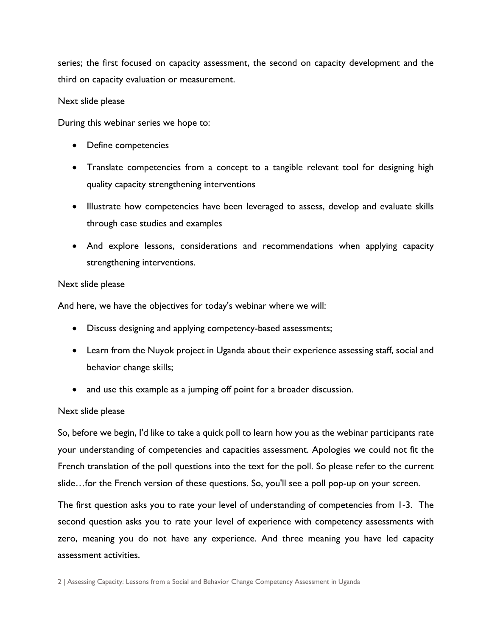series; the first focused on capacity assessment, the second on capacity development and the third on capacity evaluation or measurement.

#### Next slide please

During this webinar series we hope to:

- Define competencies
- Translate competencies from a concept to a tangible relevant tool for designing high quality capacity strengthening interventions
- Illustrate how competencies have been leveraged to assess, develop and evaluate skills through case studies and examples
- And explore lessons, considerations and recommendations when applying capacity strengthening interventions.

#### Next slide please

And here, we have the objectives for today's webinar where we will:

- Discuss designing and applying competency-based assessments;
- Learn from the Nuyok project in Uganda about their experience assessing staff, social and behavior change skills;
- and use this example as a jumping off point for a broader discussion.

#### Next slide please

So, before we begin, I'd like to take a quick poll to learn how you as the webinar participants rate your understanding of competencies and capacities assessment. Apologies we could not fit the French translation of the poll questions into the text for the poll. So please refer to the current slide…for the French version of these questions. So, you'll see a poll pop-up on your screen.

The first question asks you to rate your level of understanding of competencies from 1-3. The second question asks you to rate your level of experience with competency assessments with zero, meaning you do not have any experience. And three meaning you have led capacity assessment activities.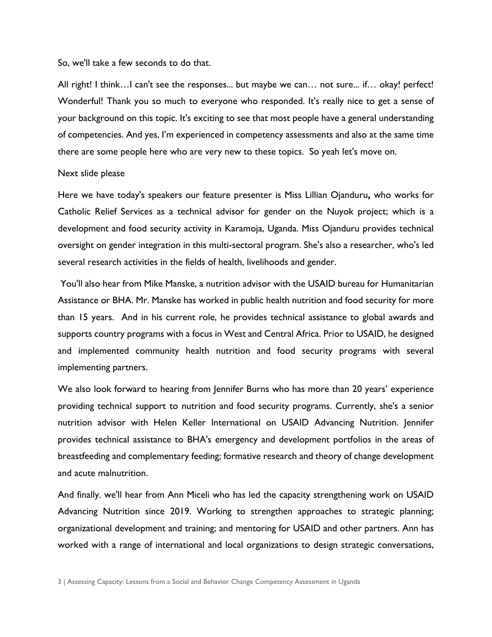So, we'll take a few seconds to do that.

All right! I think...I can't see the responses... but maybe we can... not sure... if... okay! perfect! Wonderful! Thank you so much to everyone who responded. It's really nice to get a sense of your background on this topic. It's exciting to see that most people have a general understanding of competencies. And yes, I'm experienced in competency assessments and also at the same time there are some people here who are very new to these topics. So yeah let's move on.

#### Next slide please

Here we have today's speakers our feature presenter is Miss Lillian Ojanduru**,** who works for Catholic Relief Services as a technical advisor for gender on the Nuyok project; which is a development and food security activity in Karamoja, Uganda. Miss Ojanduru provides technical oversight on gender integration in this multi-sectoral program. She's also a researcher, who's led several research activities in the fields of health, livelihoods and gender.

You'll also hear from Mike Manske, a nutrition advisor with the USAID bureau for Humanitarian Assistance or BHA. Mr. Manske has worked in public health nutrition and food security for more than 15 years. And in his current role, he provides technical assistance to global awards and supports country programs with a focus in West and Central Africa. Prior to USAID, he designed and implemented community health nutrition and food security programs with several implementing partners.

We also look forward to hearing from Jennifer Burns who has more than 20 years' experience providing technical support to nutrition and food security programs. Currently, she's a senior nutrition advisor with Helen Keller International on USAID Advancing Nutrition. Jennifer provides technical assistance to BHA's emergency and development portfolios in the areas of breastfeeding and complementary feeding; formative research and theory of change development and acute malnutrition.

And finally. we'll hear from Ann Miceli who has led the capacity strengthening work on USAID Advancing Nutrition since 2019. Working to strengthen approaches to strategic planning; organizational development and training; and mentoring for USAID and other partners. Ann has worked with a range of international and local organizations to design strategic conversations,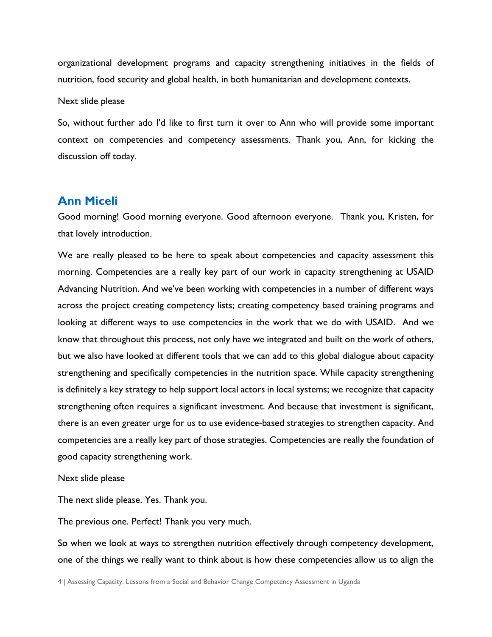organizational development programs and capacity strengthening initiatives in the fields of nutrition, food security and global health, in both humanitarian and development contexts.

#### Next slide please

So, without further ado I'd like to first turn it over to Ann who will provide some important context on competencies and competency assessments. Thank you, Ann, for kicking the discussion off today.

### **Ann Miceli**

Good morning! Good morning everyone. Good afternoon everyone. Thank you, Kristen, for that lovely introduction.

We are really pleased to be here to speak about competencies and capacity assessment this morning. Competencies are a really key part of our work in capacity strengthening at USAID Advancing Nutrition. And we've been working with competencies in a number of different ways across the project creating competency lists; creating competency based training programs and looking at different ways to use competencies in the work that we do with USAID. And we know that throughout this process, not only have we integrated and built on the work of others, but we also have looked at different tools that we can add to this global dialogue about capacity strengthening and specifically competencies in the nutrition space. While capacity strengthening is definitely a key strategy to help support local actors in local systems; we recognize that capacity strengthening often requires a significant investment. And because that investment is significant, there is an even greater urge for us to use evidence-based strategies to strengthen capacity. And competencies are a really key part of those strategies. Competencies are really the foundation of good capacity strengthening work.

#### Next slide please

The next slide please. Yes. Thank you.

The previous one. Perfect! Thank you very much.

So when we look at ways to strengthen nutrition effectively through competency development, one of the things we really want to think about is how these competencies allow us to align the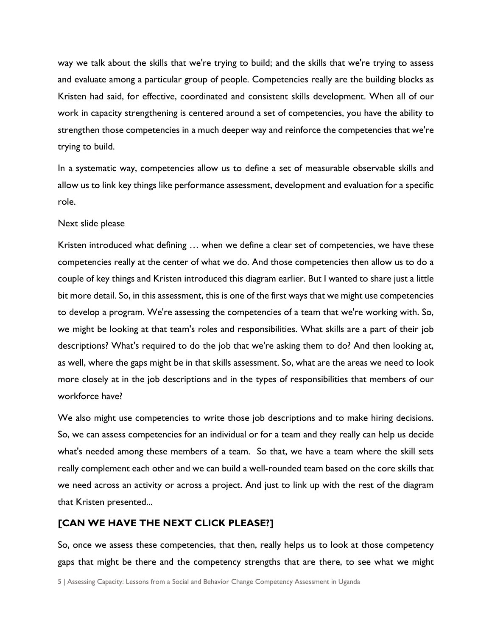way we talk about the skills that we're trying to build; and the skills that we're trying to assess and evaluate among a particular group of people. Competencies really are the building blocks as Kristen had said, for effective, coordinated and consistent skills development. When all of our work in capacity strengthening is centered around a set of competencies, you have the ability to strengthen those competencies in a much deeper way and reinforce the competencies that we're trying to build.

In a systematic way, competencies allow us to define a set of measurable observable skills and allow us to link key things like performance assessment, development and evaluation for a specific role.

#### Next slide please

Kristen introduced what defining … when we define a clear set of competencies, we have these competencies really at the center of what we do. And those competencies then allow us to do a couple of key things and Kristen introduced this diagram earlier. But I wanted to share just a little bit more detail. So, in this assessment, this is one of the first ways that we might use competencies to develop a program. We're assessing the competencies of a team that we're working with. So, we might be looking at that team's roles and responsibilities. What skills are a part of their job descriptions? What's required to do the job that we're asking them to do? And then looking at, as well, where the gaps might be in that skills assessment. So, what are the areas we need to look more closely at in the job descriptions and in the types of responsibilities that members of our workforce have?

We also might use competencies to write those job descriptions and to make hiring decisions. So, we can assess competencies for an individual or for a team and they really can help us decide what's needed among these members of a team. So that, we have a team where the skill sets really complement each other and we can build a well-rounded team based on the core skills that we need across an activity or across a project. And just to link up with the rest of the diagram that Kristen presented...

#### **[CAN WE HAVE THE NEXT CLICK PLEASE?]**

So, once we assess these competencies, that then, really helps us to look at those competency gaps that might be there and the competency strengths that are there, to see what we might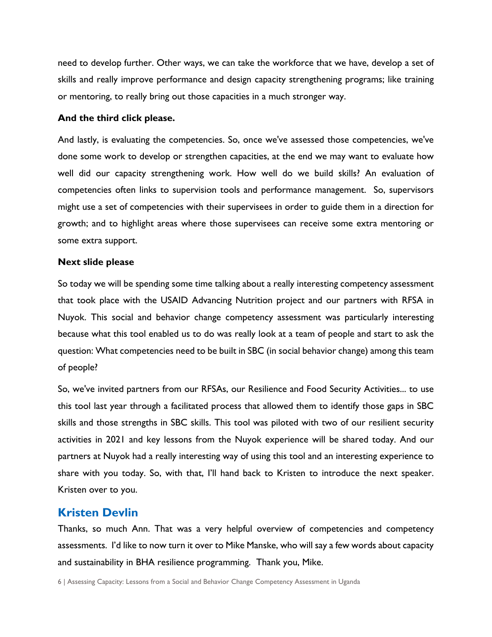need to develop further. Other ways, we can take the workforce that we have, develop a set of skills and really improve performance and design capacity strengthening programs; like training or mentoring, to really bring out those capacities in a much stronger way.

#### **And the third click please.**

And lastly, is evaluating the competencies. So, once we've assessed those competencies, we've done some work to develop or strengthen capacities, at the end we may want to evaluate how well did our capacity strengthening work. How well do we build skills? An evaluation of competencies often links to supervision tools and performance management. So, supervisors might use a set of competencies with their supervisees in order to guide them in a direction for growth; and to highlight areas where those supervisees can receive some extra mentoring or some extra support.

#### **Next slide please**

So today we will be spending some time talking about a really interesting competency assessment that took place with the USAID Advancing Nutrition project and our partners with RFSA in Nuyok. This social and behavior change competency assessment was particularly interesting because what this tool enabled us to do was really look at a team of people and start to ask the question: What competencies need to be built in SBC (in social behavior change) among this team of people?

So, we've invited partners from our RFSAs, our Resilience and Food Security Activities... to use this tool last year through a facilitated process that allowed them to identify those gaps in SBC skills and those strengths in SBC skills. This tool was piloted with two of our resilient security activities in 2021 and key lessons from the Nuyok experience will be shared today. And our partners at Nuyok had a really interesting way of using this tool and an interesting experience to share with you today. So, with that, I'll hand back to Kristen to introduce the next speaker. Kristen over to you.

### **Kristen Devlin**

Thanks, so much Ann. That was a very helpful overview of competencies and competency assessments. I'd like to now turn it over to Mike Manske, who will say a few words about capacity and sustainability in BHA resilience programming. Thank you, Mike.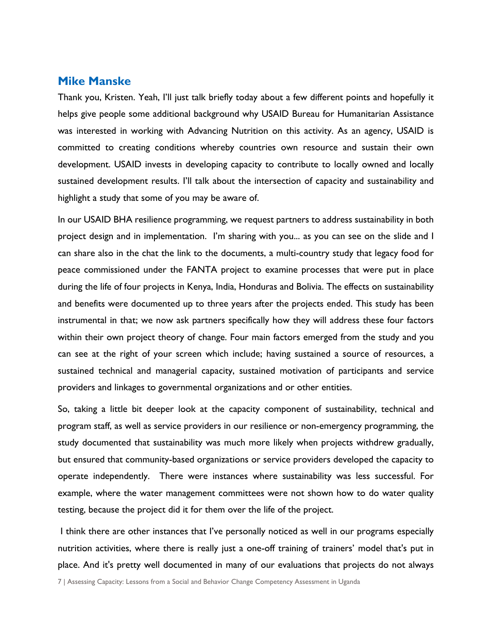### **Mike Manske**

Thank you, Kristen. Yeah, I'll just talk briefly today about a few different points and hopefully it helps give people some additional background why USAID Bureau for Humanitarian Assistance was interested in working with Advancing Nutrition on this activity. As an agency, USAID is committed to creating conditions whereby countries own resource and sustain their own development. USAID invests in developing capacity to contribute to locally owned and locally sustained development results. I'll talk about the intersection of capacity and sustainability and highlight a study that some of you may be aware of.

In our USAID BHA resilience programming, we request partners to address sustainability in both project design and in implementation. I'm sharing with you... as you can see on the slide and I can share also in the chat the link to the documents, a multi-country study that legacy food for peace commissioned under the FANTA project to examine processes that were put in place during the life of four projects in Kenya, India, Honduras and Bolivia. The effects on sustainability and benefits were documented up to three years after the projects ended. This study has been instrumental in that; we now ask partners specifically how they will address these four factors within their own project theory of change. Four main factors emerged from the study and you can see at the right of your screen which include; having sustained a source of resources, a sustained technical and managerial capacity, sustained motivation of participants and service providers and linkages to governmental organizations and or other entities.

So, taking a little bit deeper look at the capacity component of sustainability, technical and program staff, as well as service providers in our resilience or non-emergency programming, the study documented that sustainability was much more likely when projects withdrew gradually, but ensured that community-based organizations or service providers developed the capacity to operate independently. There were instances where sustainability was less successful. For example, where the water management committees were not shown how to do water quality testing, because the project did it for them over the life of the project.

I think there are other instances that I've personally noticed as well in our programs especially nutrition activities, where there is really just a one-off training of trainers' model that's put in place. And it's pretty well documented in many of our evaluations that projects do not always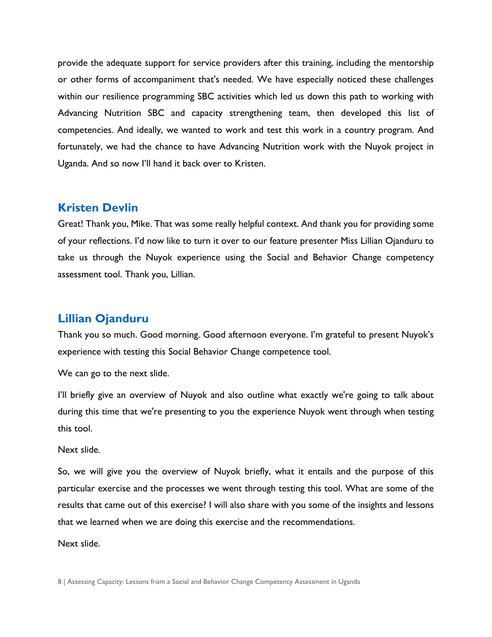provide the adequate support for service providers after this training, including the mentorship or other forms of accompaniment that's needed. We have especially noticed these challenges within our resilience programming SBC activities which led us down this path to working with Advancing Nutrition SBC and capacity strengthening team, then developed this list of competencies. And ideally, we wanted to work and test this work in a country program. And fortunately, we had the chance to have Advancing Nutrition work with the Nuyok project in Uganda. And so now I'll hand it back over to Kristen.

### **Kristen Devlin**

Great! Thank you, Mike. That was some really helpful context. And thank you for providing some of your reflections. I'd now like to turn it over to our feature presenter Miss Lillian Ojanduru to take us through the Nuyok experience using the Social and Behavior Change competency assessment tool. Thank you, Lillian.

### **Lillian Ojanduru**

Thank you so much. Good morning. Good afternoon everyone. I'm grateful to present Nuyok's experience with testing this Social Behavior Change competence tool.

We can go to the next slide.

I'll briefly give an overview of Nuyok and also outline what exactly we're going to talk about during this time that we're presenting to you the experience Nuyok went through when testing this tool.

Next slide.

So, we will give you the overview of Nuyok briefly, what it entails and the purpose of this particular exercise and the processes we went through testing this tool. What are some of the results that came out of this exercise? I will also share with you some of the insights and lessons that we learned when we are doing this exercise and the recommendations.

Next slide.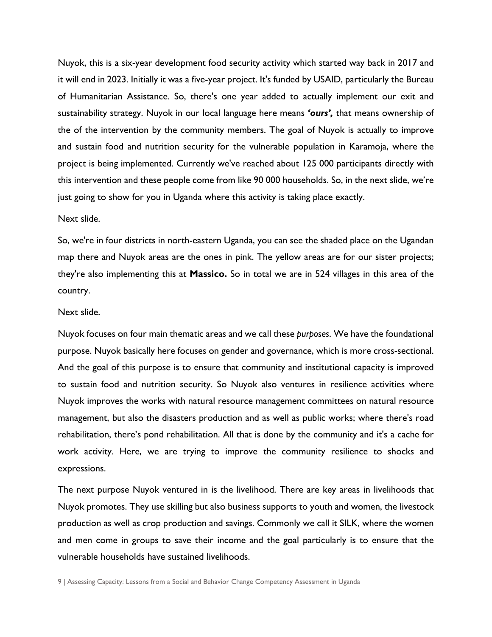Nuyok, this is a six-year development food security activity which started way back in 2017 and it will end in 2023. Initially it was a five-year project. It's funded by USAID, particularly the Bureau of Humanitarian Assistance. So, there's one year added to actually implement our exit and sustainability strategy. Nuyok in our local language here means *'ours',* that means ownership of the of the intervention by the community members. The goal of Nuyok is actually to improve and sustain food and nutrition security for the vulnerable population in Karamoja, where the project is being implemented. Currently we've reached about 125 000 participants directly with this intervention and these people come from like 90 000 households. So, in the next slide, we're just going to show for you in Uganda where this activity is taking place exactly.

#### Next slide.

So, we're in four districts in north-eastern Uganda, you can see the shaded place on the Ugandan map there and Nuyok areas are the ones in pink. The yellow areas are for our sister projects; they're also implementing this at **Massico.** So in total we are in 524 villages in this area of the country.

#### Next slide.

Nuyok focuses on four main thematic areas and we call these *purposes*. We have the foundational purpose. Nuyok basically here focuses on gender and governance, which is more cross-sectional. And the goal of this purpose is to ensure that community and institutional capacity is improved to sustain food and nutrition security. So Nuyok also ventures in resilience activities where Nuyok improves the works with natural resource management committees on natural resource management, but also the disasters production and as well as public works; where there's road rehabilitation, there's pond rehabilitation. All that is done by the community and it's a cache for work activity. Here, we are trying to improve the community resilience to shocks and expressions.

The next purpose Nuyok ventured in is the livelihood. There are key areas in livelihoods that Nuyok promotes. They use skilling but also business supports to youth and women, the livestock production as well as crop production and savings. Commonly we call it SILK, where the women and men come in groups to save their income and the goal particularly is to ensure that the vulnerable households have sustained livelihoods.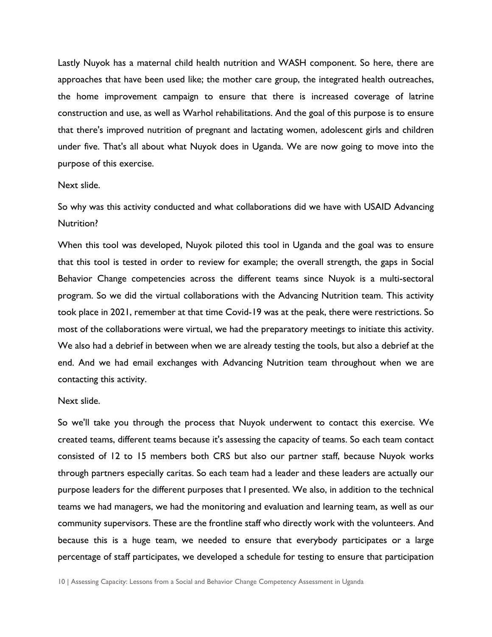Lastly Nuyok has a maternal child health nutrition and WASH component. So here, there are approaches that have been used like; the mother care group, the integrated health outreaches, the home improvement campaign to ensure that there is increased coverage of latrine construction and use, as well as Warhol rehabilitations. And the goal of this purpose is to ensure that there's improved nutrition of pregnant and lactating women, adolescent girls and children under five. That's all about what Nuyok does in Uganda. We are now going to move into the purpose of this exercise.

#### Next slide.

So why was this activity conducted and what collaborations did we have with USAID Advancing Nutrition?

When this tool was developed, Nuyok piloted this tool in Uganda and the goal was to ensure that this tool is tested in order to review for example; the overall strength, the gaps in Social Behavior Change competencies across the different teams since Nuyok is a multi-sectoral program. So we did the virtual collaborations with the Advancing Nutrition team. This activity took place in 2021, remember at that time Covid-19 was at the peak, there were restrictions. So most of the collaborations were virtual, we had the preparatory meetings to initiate this activity. We also had a debrief in between when we are already testing the tools, but also a debrief at the end. And we had email exchanges with Advancing Nutrition team throughout when we are contacting this activity.

#### Next slide.

So we'll take you through the process that Nuyok underwent to contact this exercise. We created teams, different teams because it's assessing the capacity of teams. So each team contact consisted of 12 to 15 members both CRS but also our partner staff, because Nuyok works through partners especially caritas. So each team had a leader and these leaders are actually our purpose leaders for the different purposes that I presented. We also, in addition to the technical teams we had managers, we had the monitoring and evaluation and learning team, as well as our community supervisors. These are the frontline staff who directly work with the volunteers. And because this is a huge team, we needed to ensure that everybody participates or a large percentage of staff participates, we developed a schedule for testing to ensure that participation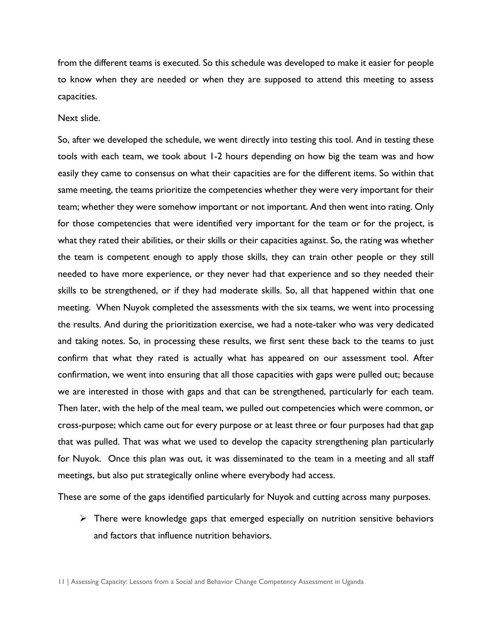from the different teams is executed. So this schedule was developed to make it easier for people to know when they are needed or when they are supposed to attend this meeting to assess capacities.

Next slide.

So, after we developed the schedule, we went directly into testing this tool. And in testing these tools with each team, we took about 1-2 hours depending on how big the team was and how easily they came to consensus on what their capacities are for the different items. So within that same meeting, the teams prioritize the competencies whether they were very important for their team; whether they were somehow important or not important. And then went into rating. Only for those competencies that were identified very important for the team or for the project, is what they rated their abilities, or their skills or their capacities against. So, the rating was whether the team is competent enough to apply those skills, they can train other people or they still needed to have more experience, or they never had that experience and so they needed their skills to be strengthened, or if they had moderate skills. So, all that happened within that one meeting. When Nuyok completed the assessments with the six teams, we went into processing the results. And during the prioritization exercise, we had a note-taker who was very dedicated and taking notes. So, in processing these results, we first sent these back to the teams to just confirm that what they rated is actually what has appeared on our assessment tool. After confirmation, we went into ensuring that all those capacities with gaps were pulled out; because we are interested in those with gaps and that can be strengthened, particularly for each team. Then later, with the help of the meal team, we pulled out competencies which were common, or cross-purpose; which came out for every purpose or at least three or four purposes had that gap that was pulled. That was what we used to develop the capacity strengthening plan particularly for Nuyok. Once this plan was out, it was disseminated to the team in a meeting and all staff meetings, but also put strategically online where everybody had access.

These are some of the gaps identified particularly for Nuyok and cutting across many purposes.

 $\triangleright$  There were knowledge gaps that emerged especially on nutrition sensitive behaviors and factors that influence nutrition behaviors.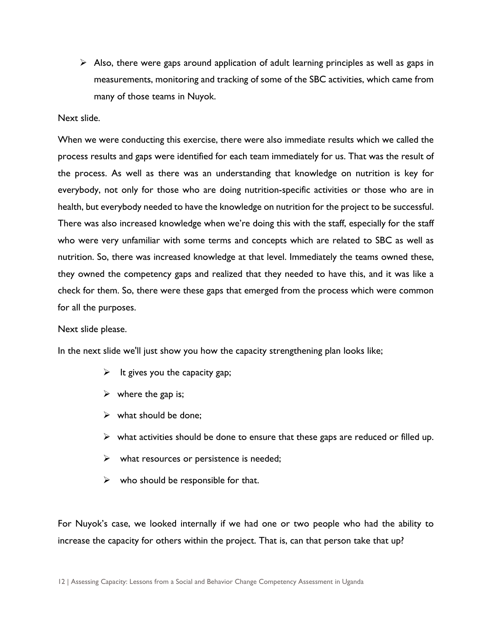$\triangleright$  Also, there were gaps around application of adult learning principles as well as gaps in measurements, monitoring and tracking of some of the SBC activities, which came from many of those teams in Nuyok.

#### Next slide.

When we were conducting this exercise, there were also immediate results which we called the process results and gaps were identified for each team immediately for us. That was the result of the process. As well as there was an understanding that knowledge on nutrition is key for everybody, not only for those who are doing nutrition-specific activities or those who are in health, but everybody needed to have the knowledge on nutrition for the project to be successful. There was also increased knowledge when we're doing this with the staff, especially for the staff who were very unfamiliar with some terms and concepts which are related to SBC as well as nutrition. So, there was increased knowledge at that level. Immediately the teams owned these, they owned the competency gaps and realized that they needed to have this, and it was like a check for them. So, there were these gaps that emerged from the process which were common for all the purposes.

#### Next slide please.

In the next slide we'll just show you how the capacity strengthening plan looks like;

- $\triangleright$  It gives you the capacity gap;
- $\triangleright$  where the gap is;
- $\triangleright$  what should be done:
- $\triangleright$  what activities should be done to ensure that these gaps are reduced or filled up.
- $\triangleright$  what resources or persistence is needed;
- $\triangleright$  who should be responsible for that.

For Nuyok's case, we looked internally if we had one or two people who had the ability to increase the capacity for others within the project. That is, can that person take that up?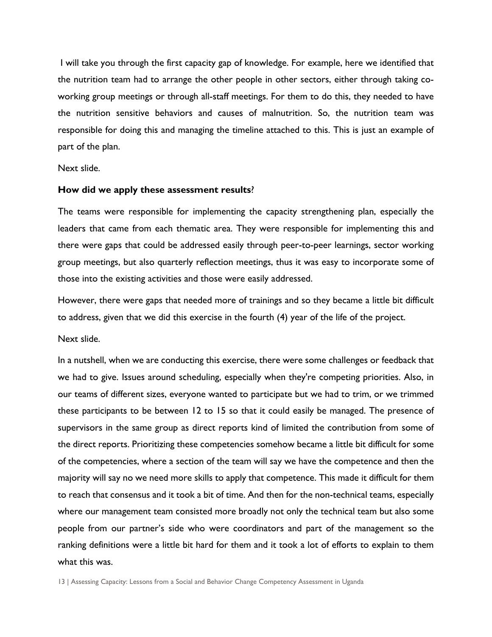I will take you through the first capacity gap of knowledge. For example, here we identified that the nutrition team had to arrange the other people in other sectors, either through taking coworking group meetings or through all-staff meetings. For them to do this, they needed to have the nutrition sensitive behaviors and causes of malnutrition. So, the nutrition team was responsible for doing this and managing the timeline attached to this. This is just an example of part of the plan.

Next slide.

#### **How did we apply these assessment results**?

The teams were responsible for implementing the capacity strengthening plan, especially the leaders that came from each thematic area. They were responsible for implementing this and there were gaps that could be addressed easily through peer-to-peer learnings, sector working group meetings, but also quarterly reflection meetings, thus it was easy to incorporate some of those into the existing activities and those were easily addressed.

However, there were gaps that needed more of trainings and so they became a little bit difficult to address, given that we did this exercise in the fourth (4) year of the life of the project.

Next slide.

In a nutshell, when we are conducting this exercise, there were some challenges or feedback that we had to give. Issues around scheduling, especially when they're competing priorities. Also, in our teams of different sizes, everyone wanted to participate but we had to trim, or we trimmed these participants to be between 12 to 15 so that it could easily be managed. The presence of supervisors in the same group as direct reports kind of limited the contribution from some of the direct reports. Prioritizing these competencies somehow became a little bit difficult for some of the competencies, where a section of the team will say we have the competence and then the majority will say no we need more skills to apply that competence. This made it difficult for them to reach that consensus and it took a bit of time. And then for the non-technical teams, especially where our management team consisted more broadly not only the technical team but also some people from our partner's side who were coordinators and part of the management so the ranking definitions were a little bit hard for them and it took a lot of efforts to explain to them what this was.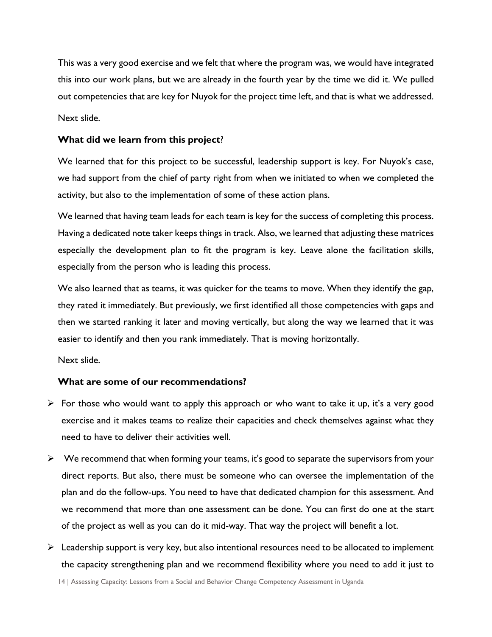This was a very good exercise and we felt that where the program was, we would have integrated this into our work plans, but we are already in the fourth year by the time we did it. We pulled out competencies that are key for Nuyok for the project time left, and that is what we addressed. Next slide.

#### **What did we learn from this project**?

We learned that for this project to be successful, leadership support is key. For Nuyok's case, we had support from the chief of party right from when we initiated to when we completed the activity, but also to the implementation of some of these action plans.

We learned that having team leads for each team is key for the success of completing this process. Having a dedicated note taker keeps things in track. Also, we learned that adjusting these matrices especially the development plan to fit the program is key. Leave alone the facilitation skills, especially from the person who is leading this process.

We also learned that as teams, it was quicker for the teams to move. When they identify the gap, they rated it immediately. But previously, we first identified all those competencies with gaps and then we started ranking it later and moving vertically, but along the way we learned that it was easier to identify and then you rank immediately. That is moving horizontally.

Next slide.

#### **What are some of our recommendations?**

- $\triangleright$  For those who would want to apply this approach or who want to take it up, it's a very good exercise and it makes teams to realize their capacities and check themselves against what they need to have to deliver their activities well.
- $\triangleright$  We recommend that when forming your teams, it's good to separate the supervisors from your direct reports. But also, there must be someone who can oversee the implementation of the plan and do the follow-ups. You need to have that dedicated champion for this assessment. And we recommend that more than one assessment can be done. You can first do one at the start of the project as well as you can do it mid-way. That way the project will benefit a lot.
- $\triangleright$  Leadership support is very key, but also intentional resources need to be allocated to implement the capacity strengthening plan and we recommend flexibility where you need to add it just to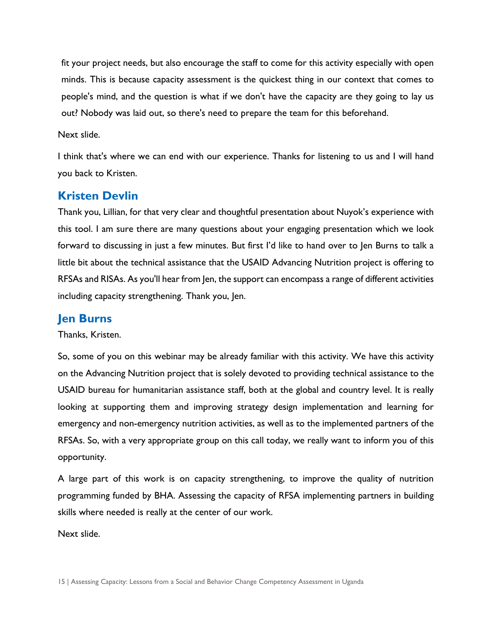fit your project needs, but also encourage the staff to come for this activity especially with open minds. This is because capacity assessment is the quickest thing in our context that comes to people's mind, and the question is what if we don't have the capacity are they going to lay us out? Nobody was laid out, so there's need to prepare the team for this beforehand.

Next slide.

I think that's where we can end with our experience. Thanks for listening to us and I will hand you back to Kristen.

# **Kristen Devlin**

Thank you, Lillian, for that very clear and thoughtful presentation about Nuyok's experience with this tool. I am sure there are many questions about your engaging presentation which we look forward to discussing in just a few minutes. But first I'd like to hand over to Jen Burns to talk a little bit about the technical assistance that the USAID Advancing Nutrition project is offering to RFSAs and RISAs. As you'll hear from Jen, the support can encompass a range of different activities including capacity strengthening. Thank you, Jen.

### **Jen Burns**

Thanks, Kristen.

So, some of you on this webinar may be already familiar with this activity. We have this activity on the Advancing Nutrition project that is solely devoted to providing technical assistance to the USAID bureau for humanitarian assistance staff, both at the global and country level. It is really looking at supporting them and improving strategy design implementation and learning for emergency and non-emergency nutrition activities, as well as to the implemented partners of the RFSAs. So, with a very appropriate group on this call today, we really want to inform you of this opportunity.

A large part of this work is on capacity strengthening, to improve the quality of nutrition programming funded by BHA. Assessing the capacity of RFSA implementing partners in building skills where needed is really at the center of our work.

Next slide.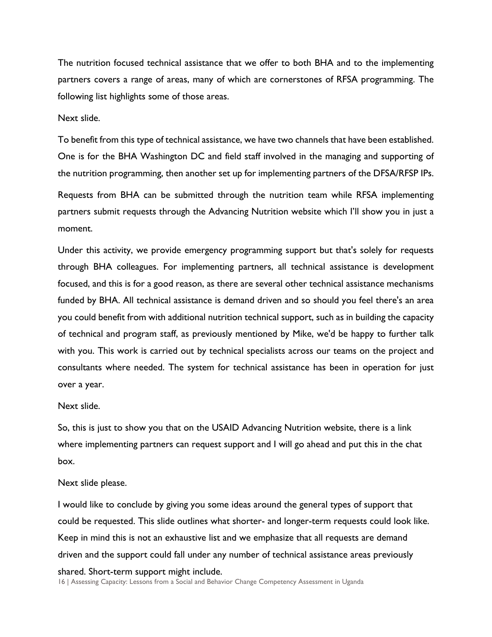The nutrition focused technical assistance that we offer to both BHA and to the implementing partners covers a range of areas, many of which are cornerstones of RFSA programming. The following list highlights some of those areas.

Next slide.

To benefit from this type of technical assistance, we have two channels that have been established. One is for the BHA Washington DC and field staff involved in the managing and supporting of the nutrition programming, then another set up for implementing partners of the DFSA/RFSP IPs.

Requests from BHA can be submitted through the nutrition team while RFSA implementing partners submit requests through the Advancing Nutrition website which I'll show you in just a moment.

Under this activity, we provide emergency programming support but that's solely for requests through BHA colleagues. For implementing partners, all technical assistance is development focused, and this is for a good reason, as there are several other technical assistance mechanisms funded by BHA. All technical assistance is demand driven and so should you feel there's an area you could benefit from with additional nutrition technical support, such as in building the capacity of technical and program staff, as previously mentioned by Mike, we'd be happy to further talk with you. This work is carried out by technical specialists across our teams on the project and consultants where needed. The system for technical assistance has been in operation for just over a year.

Next slide.

So, this is just to show you that on the USAID Advancing Nutrition website, there is a link where implementing partners can request support and I will go ahead and put this in the chat box.

#### Next slide please.

I would like to conclude by giving you some ideas around the general types of support that could be requested. This slide outlines what shorter- and longer-term requests could look like. Keep in mind this is not an exhaustive list and we emphasize that all requests are demand driven and the support could fall under any number of technical assistance areas previously

#### shared. Short-term support might include.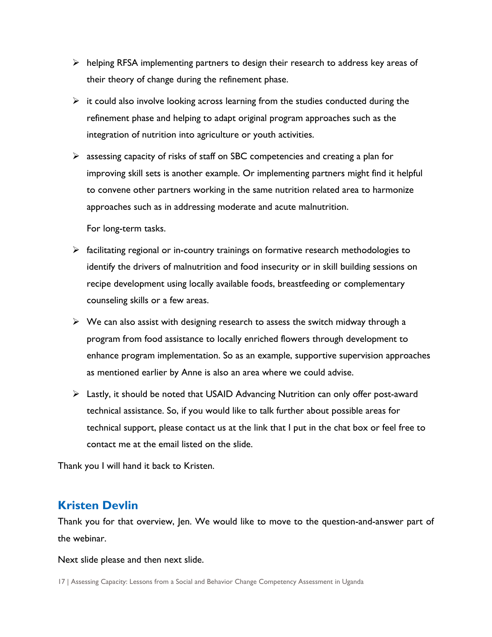- $\triangleright$  helping RFSA implementing partners to design their research to address key areas of their theory of change during the refinement phase.
- $\triangleright$  it could also involve looking across learning from the studies conducted during the refinement phase and helping to adapt original program approaches such as the integration of nutrition into agriculture or youth activities.
- $\triangleright$  assessing capacity of risks of staff on SBC competencies and creating a plan for improving skill sets is another example. Or implementing partners might find it helpful to convene other partners working in the same nutrition related area to harmonize approaches such as in addressing moderate and acute malnutrition.

For long-term tasks.

- $\triangleright$  facilitating regional or in-country trainings on formative research methodologies to identify the drivers of malnutrition and food insecurity or in skill building sessions on recipe development using locally available foods, breastfeeding or complementary counseling skills or a few areas.
- $\triangleright$  We can also assist with designing research to assess the switch midway through a program from food assistance to locally enriched flowers through development to enhance program implementation. So as an example, supportive supervision approaches as mentioned earlier by Anne is also an area where we could advise.
- Lastly, it should be noted that USAID Advancing Nutrition can only offer post-award technical assistance. So, if you would like to talk further about possible areas for technical support, please contact us at the link that I put in the chat box or feel free to contact me at the email listed on the slide.

Thank you I will hand it back to Kristen.

# **Kristen Devlin**

Thank you for that overview, Jen. We would like to move to the question-and-answer part of the webinar.

Next slide please and then next slide.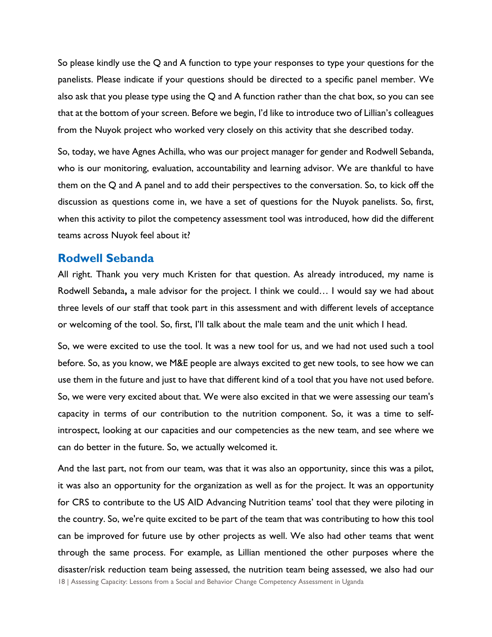So please kindly use the Q and A function to type your responses to type your questions for the panelists. Please indicate if your questions should be directed to a specific panel member. We also ask that you please type using the  $Q$  and A function rather than the chat box, so you can see that at the bottom of your screen. Before we begin, I'd like to introduce two of Lillian's colleagues from the Nuyok project who worked very closely on this activity that she described today.

So, today, we have Agnes Achilla, who was our project manager for gender and Rodwell Sebanda, who is our monitoring, evaluation, accountability and learning advisor. We are thankful to have them on the Q and A panel and to add their perspectives to the conversation. So, to kick off the discussion as questions come in, we have a set of questions for the Nuyok panelists. So, first, when this activity to pilot the competency assessment tool was introduced, how did the different teams across Nuyok feel about it?

### **Rodwell Sebanda**

All right. Thank you very much Kristen for that question. As already introduced, my name is Rodwell Sebanda**,** a male advisor for the project. I think we could… I would say we had about three levels of our staff that took part in this assessment and with different levels of acceptance or welcoming of the tool. So, first, I'll talk about the male team and the unit which I head.

So, we were excited to use the tool. It was a new tool for us, and we had not used such a tool before. So, as you know, we M&E people are always excited to get new tools, to see how we can use them in the future and just to have that different kind of a tool that you have not used before. So, we were very excited about that. We were also excited in that we were assessing our team's capacity in terms of our contribution to the nutrition component. So, it was a time to selfintrospect, looking at our capacities and our competencies as the new team, and see where we can do better in the future. So, we actually welcomed it.

18 | Assessing Capacity: Lessons from a Social and Behavior Change Competency Assessment in Uganda And the last part, not from our team, was that it was also an opportunity, since this was a pilot, it was also an opportunity for the organization as well as for the project. It was an opportunity for CRS to contribute to the US AID Advancing Nutrition teams' tool that they were piloting in the country. So, we're quite excited to be part of the team that was contributing to how this tool can be improved for future use by other projects as well. We also had other teams that went through the same process. For example, as Lillian mentioned the other purposes where the disaster/risk reduction team being assessed, the nutrition team being assessed, we also had our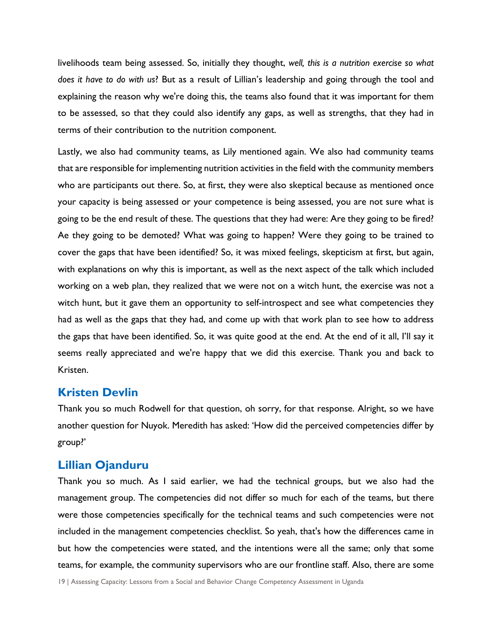livelihoods team being assessed. So, initially they thought, *well, this is a nutrition exercise so what does it have to do with us*? But as a result of Lillian's leadership and going through the tool and explaining the reason why we're doing this, the teams also found that it was important for them to be assessed, so that they could also identify any gaps, as well as strengths, that they had in terms of their contribution to the nutrition component.

Lastly, we also had community teams, as Lily mentioned again. We also had community teams that are responsible for implementing nutrition activities in the field with the community members who are participants out there. So, at first, they were also skeptical because as mentioned once your capacity is being assessed or your competence is being assessed, you are not sure what is going to be the end result of these. The questions that they had were: Are they going to be fired? Ae they going to be demoted? What was going to happen? Were they going to be trained to cover the gaps that have been identified? So, it was mixed feelings, skepticism at first, but again, with explanations on why this is important, as well as the next aspect of the talk which included working on a web plan, they realized that we were not on a witch hunt, the exercise was not a witch hunt, but it gave them an opportunity to self-introspect and see what competencies they had as well as the gaps that they had, and come up with that work plan to see how to address the gaps that have been identified. So, it was quite good at the end. At the end of it all, I'll say it seems really appreciated and we're happy that we did this exercise. Thank you and back to Kristen.

### **Kristen Devlin**

Thank you so much Rodwell for that question, oh sorry, for that response. Alright, so we have another question for Nuyok. Meredith has asked: 'How did the perceived competencies differ by group?'

### **Lillian Ojanduru**

Thank you so much. As I said earlier, we had the technical groups, but we also had the management group. The competencies did not differ so much for each of the teams, but there were those competencies specifically for the technical teams and such competencies were not included in the management competencies checklist. So yeah, that's how the differences came in but how the competencies were stated, and the intentions were all the same; only that some teams, for example, the community supervisors who are our frontline staff. Also, there are some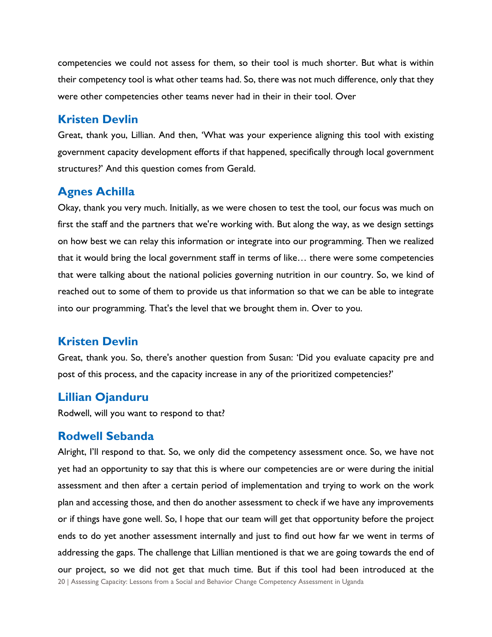competencies we could not assess for them, so their tool is much shorter. But what is within their competency tool is what other teams had. So, there was not much difference, only that they were other competencies other teams never had in their in their tool. Over

# **Kristen Devlin**

Great, thank you, Lillian. And then, 'What was your experience aligning this tool with existing government capacity development efforts if that happened, specifically through local government structures?' And this question comes from Gerald.

# **Agnes Achilla**

Okay, thank you very much. Initially, as we were chosen to test the tool, our focus was much on first the staff and the partners that we're working with. But along the way, as we design settings on how best we can relay this information or integrate into our programming. Then we realized that it would bring the local government staff in terms of like… there were some competencies that were talking about the national policies governing nutrition in our country. So, we kind of reached out to some of them to provide us that information so that we can be able to integrate into our programming. That's the level that we brought them in. Over to you.

# **Kristen Devlin**

Great, thank you. So, there's another question from Susan: 'Did you evaluate capacity pre and post of this process, and the capacity increase in any of the prioritized competencies?'

# **Lillian Ojanduru**

Rodwell, will you want to respond to that?

# **Rodwell Sebanda**

20 | Assessing Capacity: Lessons from a Social and Behavior Change Competency Assessment in Uganda Alright, I'll respond to that. So, we only did the competency assessment once. So, we have not yet had an opportunity to say that this is where our competencies are or were during the initial assessment and then after a certain period of implementation and trying to work on the work plan and accessing those, and then do another assessment to check if we have any improvements or if things have gone well. So, I hope that our team will get that opportunity before the project ends to do yet another assessment internally and just to find out how far we went in terms of addressing the gaps. The challenge that Lillian mentioned is that we are going towards the end of our project, so we did not get that much time. But if this tool had been introduced at the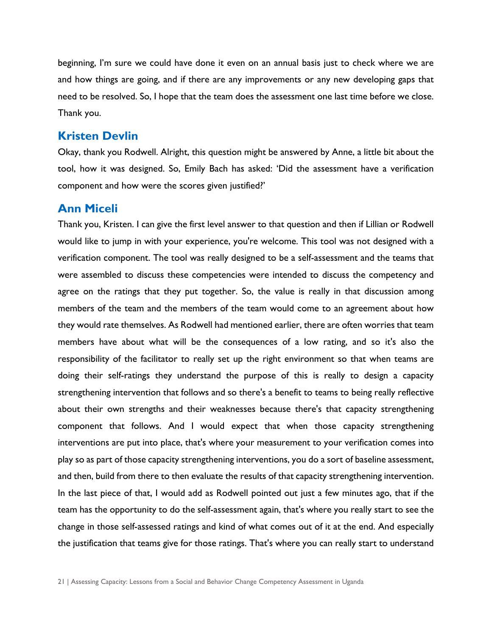beginning, I'm sure we could have done it even on an annual basis just to check where we are and how things are going, and if there are any improvements or any new developing gaps that need to be resolved. So, I hope that the team does the assessment one last time before we close. Thank you.

### **Kristen Devlin**

Okay, thank you Rodwell. Alright, this question might be answered by Anne, a little bit about the tool, how it was designed. So, Emily Bach has asked: 'Did the assessment have a verification component and how were the scores given justified?'

### **Ann Miceli**

Thank you, Kristen. I can give the first level answer to that question and then if Lillian or Rodwell would like to jump in with your experience, you're welcome. This tool was not designed with a verification component. The tool was really designed to be a self-assessment and the teams that were assembled to discuss these competencies were intended to discuss the competency and agree on the ratings that they put together. So, the value is really in that discussion among members of the team and the members of the team would come to an agreement about how they would rate themselves. As Rodwell had mentioned earlier, there are often worries that team members have about what will be the consequences of a low rating, and so it's also the responsibility of the facilitator to really set up the right environment so that when teams are doing their self-ratings they understand the purpose of this is really to design a capacity strengthening intervention that follows and so there's a benefit to teams to being really reflective about their own strengths and their weaknesses because there's that capacity strengthening component that follows. And I would expect that when those capacity strengthening interventions are put into place, that's where your measurement to your verification comes into play so as part of those capacity strengthening interventions, you do a sort of baseline assessment, and then, build from there to then evaluate the results of that capacity strengthening intervention. In the last piece of that, I would add as Rodwell pointed out just a few minutes ago, that if the team has the opportunity to do the self-assessment again, that's where you really start to see the change in those self-assessed ratings and kind of what comes out of it at the end. And especially the justification that teams give for those ratings. That's where you can really start to understand

<sup>21</sup> | Assessing Capacity: Lessons from a Social and Behavior Change Competency Assessment in Uganda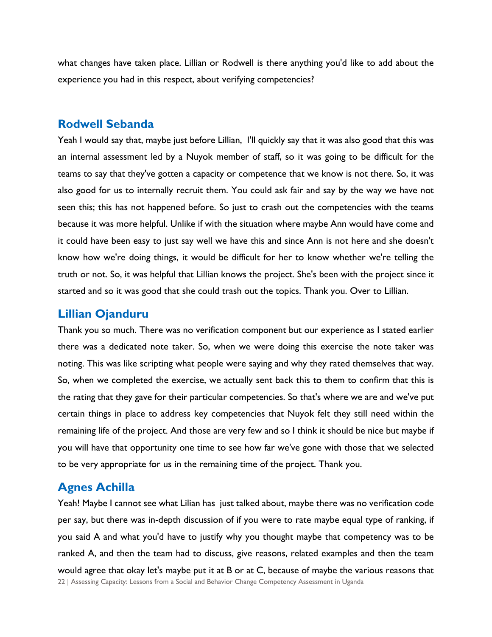what changes have taken place. Lillian or Rodwell is there anything you'd like to add about the experience you had in this respect, about verifying competencies?

### **Rodwell Sebanda**

Yeah I would say that, maybe just before Lillian, I'll quickly say that it was also good that this was an internal assessment led by a Nuyok member of staff, so it was going to be difficult for the teams to say that they've gotten a capacity or competence that we know is not there. So, it was also good for us to internally recruit them. You could ask fair and say by the way we have not seen this; this has not happened before. So just to crash out the competencies with the teams because it was more helpful. Unlike if with the situation where maybe Ann would have come and it could have been easy to just say well we have this and since Ann is not here and she doesn't know how we're doing things, it would be difficult for her to know whether we're telling the truth or not. So, it was helpful that Lillian knows the project. She's been with the project since it started and so it was good that she could trash out the topics. Thank you. Over to Lillian.

### **Lillian Ojanduru**

Thank you so much. There was no verification component but our experience as I stated earlier there was a dedicated note taker. So, when we were doing this exercise the note taker was noting. This was like scripting what people were saying and why they rated themselves that way. So, when we completed the exercise, we actually sent back this to them to confirm that this is the rating that they gave for their particular competencies. So that's where we are and we've put certain things in place to address key competencies that Nuyok felt they still need within the remaining life of the project. And those are very few and so I think it should be nice but maybe if you will have that opportunity one time to see how far we've gone with those that we selected to be very appropriate for us in the remaining time of the project. Thank you.

# **Agnes Achilla**

22 | Assessing Capacity: Lessons from a Social and Behavior Change Competency Assessment in Uganda Yeah! Maybe I cannot see what Lilian has just talked about, maybe there was no verification code per say, but there was in-depth discussion of if you were to rate maybe equal type of ranking, if you said A and what you'd have to justify why you thought maybe that competency was to be ranked A, and then the team had to discuss, give reasons, related examples and then the team would agree that okay let's maybe put it at B or at C, because of maybe the various reasons that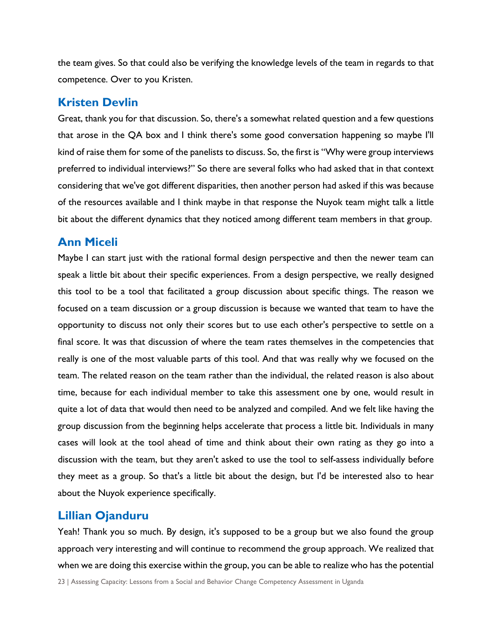the team gives. So that could also be verifying the knowledge levels of the team in regards to that competence. Over to you Kristen.

### **Kristen Devlin**

Great, thank you for that discussion. So, there's a somewhat related question and a few questions that arose in the QA box and I think there's some good conversation happening so maybe I'll kind of raise them for some of the panelists to discuss. So, the first is "Why were group interviews preferred to individual interviews?" So there are several folks who had asked that in that context considering that we've got different disparities, then another person had asked if this was because of the resources available and I think maybe in that response the Nuyok team might talk a little bit about the different dynamics that they noticed among different team members in that group.

# **Ann Miceli**

Maybe I can start just with the rational formal design perspective and then the newer team can speak a little bit about their specific experiences. From a design perspective, we really designed this tool to be a tool that facilitated a group discussion about specific things. The reason we focused on a team discussion or a group discussion is because we wanted that team to have the opportunity to discuss not only their scores but to use each other's perspective to settle on a final score. It was that discussion of where the team rates themselves in the competencies that really is one of the most valuable parts of this tool. And that was really why we focused on the team. The related reason on the team rather than the individual, the related reason is also about time, because for each individual member to take this assessment one by one, would result in quite a lot of data that would then need to be analyzed and compiled. And we felt like having the group discussion from the beginning helps accelerate that process a little bit. Individuals in many cases will look at the tool ahead of time and think about their own rating as they go into a discussion with the team, but they aren't asked to use the tool to self-assess individually before they meet as a group. So that's a little bit about the design, but I'd be interested also to hear about the Nuyok experience specifically.

# **Lillian Ojanduru**

Yeah! Thank you so much. By design, it's supposed to be a group but we also found the group approach very interesting and will continue to recommend the group approach. We realized that when we are doing this exercise within the group, you can be able to realize who has the potential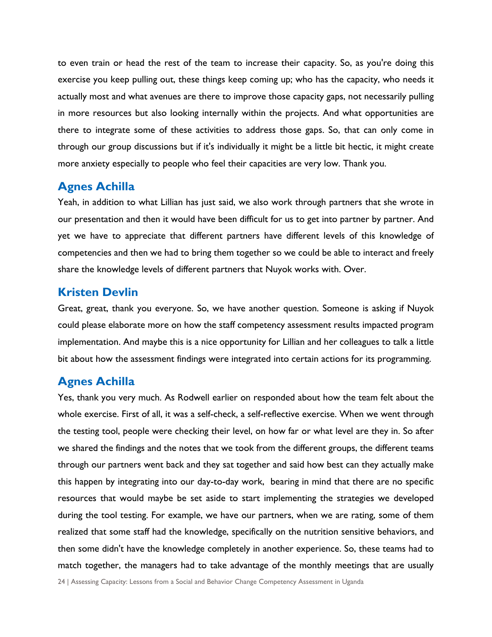to even train or head the rest of the team to increase their capacity. So, as you're doing this exercise you keep pulling out, these things keep coming up; who has the capacity, who needs it actually most and what avenues are there to improve those capacity gaps, not necessarily pulling in more resources but also looking internally within the projects. And what opportunities are there to integrate some of these activities to address those gaps. So, that can only come in through our group discussions but if it's individually it might be a little bit hectic, it might create more anxiety especially to people who feel their capacities are very low. Thank you.

### **Agnes Achilla**

Yeah, in addition to what Lillian has just said, we also work through partners that she wrote in our presentation and then it would have been difficult for us to get into partner by partner. And yet we have to appreciate that different partners have different levels of this knowledge of competencies and then we had to bring them together so we could be able to interact and freely share the knowledge levels of different partners that Nuyok works with. Over.

# **Kristen Devlin**

Great, great, thank you everyone. So, we have another question. Someone is asking if Nuyok could please elaborate more on how the staff competency assessment results impacted program implementation. And maybe this is a nice opportunity for Lillian and her colleagues to talk a little bit about how the assessment findings were integrated into certain actions for its programming.

# **Agnes Achilla**

Yes, thank you very much. As Rodwell earlier on responded about how the team felt about the whole exercise. First of all, it was a self-check, a self-reflective exercise. When we went through the testing tool, people were checking their level, on how far or what level are they in. So after we shared the findings and the notes that we took from the different groups, the different teams through our partners went back and they sat together and said how best can they actually make this happen by integrating into our day-to-day work, bearing in mind that there are no specific resources that would maybe be set aside to start implementing the strategies we developed during the tool testing. For example, we have our partners, when we are rating, some of them realized that some staff had the knowledge, specifically on the nutrition sensitive behaviors, and then some didn't have the knowledge completely in another experience. So, these teams had to match together, the managers had to take advantage of the monthly meetings that are usually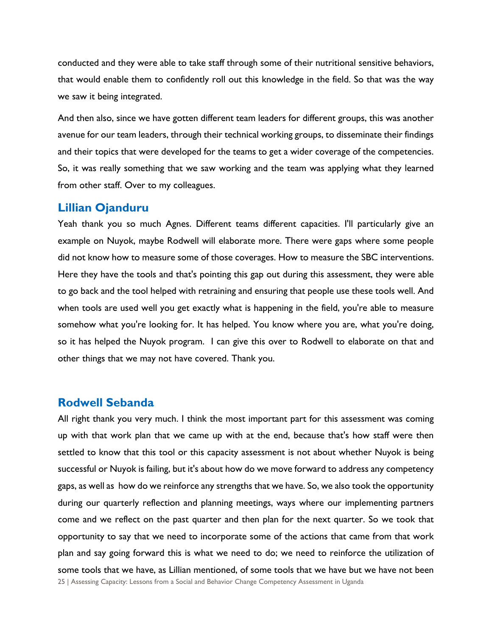conducted and they were able to take staff through some of their nutritional sensitive behaviors, that would enable them to confidently roll out this knowledge in the field. So that was the way we saw it being integrated.

And then also, since we have gotten different team leaders for different groups, this was another avenue for our team leaders, through their technical working groups, to disseminate their findings and their topics that were developed for the teams to get a wider coverage of the competencies. So, it was really something that we saw working and the team was applying what they learned from other staff. Over to my colleagues.

### **Lillian Ojanduru**

Yeah thank you so much Agnes. Different teams different capacities. I'll particularly give an example on Nuyok, maybe Rodwell will elaborate more. There were gaps where some people did not know how to measure some of those coverages. How to measure the SBC interventions. Here they have the tools and that's pointing this gap out during this assessment, they were able to go back and the tool helped with retraining and ensuring that people use these tools well. And when tools are used well you get exactly what is happening in the field, you're able to measure somehow what you're looking for. It has helped. You know where you are, what you're doing, so it has helped the Nuyok program. I can give this over to Rodwell to elaborate on that and other things that we may not have covered. Thank you.

### **Rodwell Sebanda**

25 | Assessing Capacity: Lessons from a Social and Behavior Change Competency Assessment in Uganda All right thank you very much. I think the most important part for this assessment was coming up with that work plan that we came up with at the end, because that's how staff were then settled to know that this tool or this capacity assessment is not about whether Nuyok is being successful or Nuyok is failing, but it's about how do we move forward to address any competency gaps, as well as how do we reinforce any strengths that we have. So, we also took the opportunity during our quarterly reflection and planning meetings, ways where our implementing partners come and we reflect on the past quarter and then plan for the next quarter. So we took that opportunity to say that we need to incorporate some of the actions that came from that work plan and say going forward this is what we need to do; we need to reinforce the utilization of some tools that we have, as Lillian mentioned, of some tools that we have but we have not been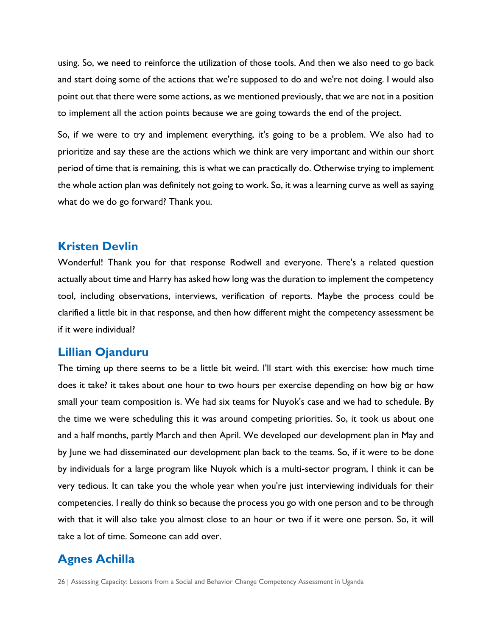using. So, we need to reinforce the utilization of those tools. And then we also need to go back and start doing some of the actions that we're supposed to do and we're not doing. I would also point out that there were some actions, as we mentioned previously, that we are not in a position to implement all the action points because we are going towards the end of the project.

So, if we were to try and implement everything, it's going to be a problem. We also had to prioritize and say these are the actions which we think are very important and within our short period of time that is remaining, this is what we can practically do. Otherwise trying to implement the whole action plan was definitely not going to work. So, it was a learning curve as well as saying what do we do go forward? Thank you.

### **Kristen Devlin**

Wonderful! Thank you for that response Rodwell and everyone. There's a related question actually about time and Harry has asked how long was the duration to implement the competency tool, including observations, interviews, verification of reports. Maybe the process could be clarified a little bit in that response, and then how different might the competency assessment be if it were individual?

### **Lillian Ojanduru**

The timing up there seems to be a little bit weird. I'll start with this exercise: how much time does it take? it takes about one hour to two hours per exercise depending on how big or how small your team composition is. We had six teams for Nuyok's case and we had to schedule. By the time we were scheduling this it was around competing priorities. So, it took us about one and a half months, partly March and then April. We developed our development plan in May and by June we had disseminated our development plan back to the teams. So, if it were to be done by individuals for a large program like Nuyok which is a multi-sector program, I think it can be very tedious. It can take you the whole year when you're just interviewing individuals for their competencies. I really do think so because the process you go with one person and to be through with that it will also take you almost close to an hour or two if it were one person. So, it will take a lot of time. Someone can add over.

### **Agnes Achilla**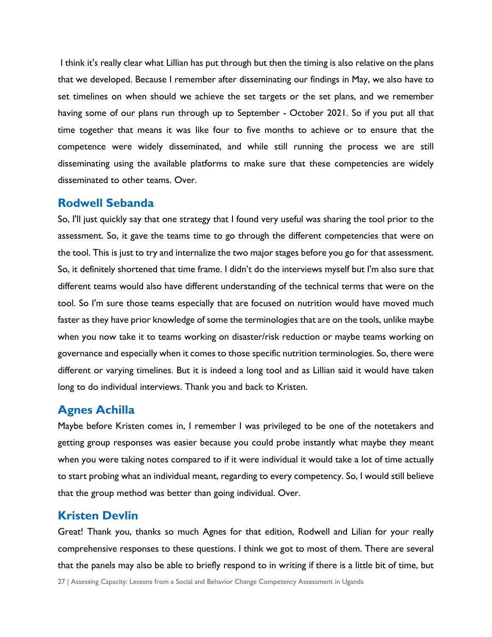I think it's really clear what Lillian has put through but then the timing is also relative on the plans that we developed. Because I remember after disseminating our findings in May, we also have to set timelines on when should we achieve the set targets or the set plans, and we remember having some of our plans run through up to September - October 2021. So if you put all that time together that means it was like four to five months to achieve or to ensure that the competence were widely disseminated, and while still running the process we are still disseminating using the available platforms to make sure that these competencies are widely disseminated to other teams. Over.

### **Rodwell Sebanda**

So, I'll just quickly say that one strategy that I found very useful was sharing the tool prior to the assessment. So, it gave the teams time to go through the different competencies that were on the tool. This is just to try and internalize the two major stages before you go for that assessment. So, it definitely shortened that time frame. I didn't do the interviews myself but I'm also sure that different teams would also have different understanding of the technical terms that were on the tool. So I'm sure those teams especially that are focused on nutrition would have moved much faster as they have prior knowledge of some the terminologies that are on the tools, unlike maybe when you now take it to teams working on disaster/risk reduction or maybe teams working on governance and especially when it comes to those specific nutrition terminologies. So, there were different or varying timelines. But it is indeed a long tool and as Lillian said it would have taken long to do individual interviews. Thank you and back to Kristen.

### **Agnes Achilla**

Maybe before Kristen comes in, I remember I was privileged to be one of the notetakers and getting group responses was easier because you could probe instantly what maybe they meant when you were taking notes compared to if it were individual it would take a lot of time actually to start probing what an individual meant, regarding to every competency. So, I would still believe that the group method was better than going individual. Over.

# **Kristen Devlin**

Great! Thank you, thanks so much Agnes for that edition, Rodwell and Lilian for your really comprehensive responses to these questions. I think we got to most of them. There are several that the panels may also be able to briefly respond to in writing if there is a little bit of time, but